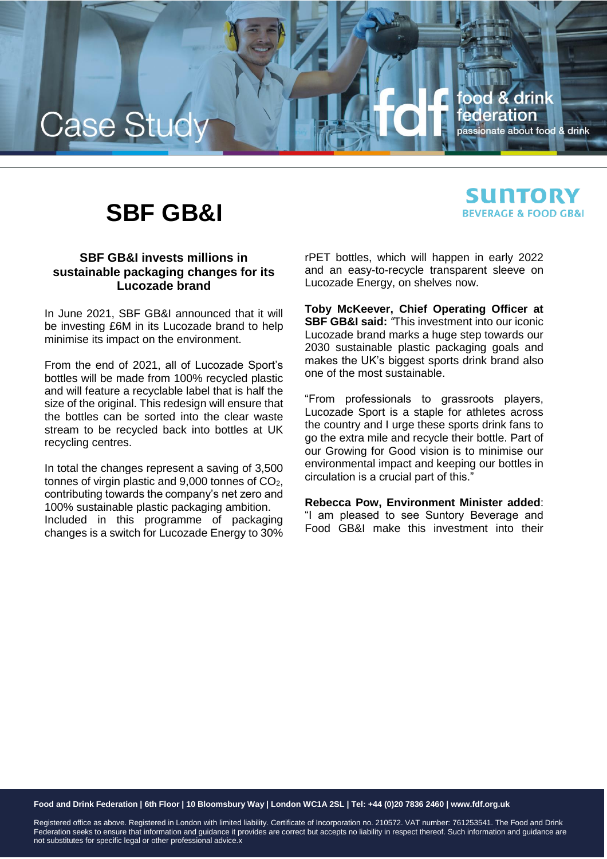

# **SBF GB&I**

## **SUNTORY BEVERAGE & FOOD GB&I**

### **SBF GB&I invests millions in sustainable packaging changes for its Lucozade brand**

In June 2021, SBF GB&I announced that it will be investing £6M in its Lucozade brand to help minimise its impact on the environment.

From the end of 2021, all of Lucozade Sport's bottles will be made from 100% recycled plastic and will feature a recyclable label that is half the size of the original. This redesign will ensure that the bottles can be sorted into the clear waste stream to be recycled back into bottles at UK recycling centres.

In total the changes represent a saving of 3,500 tonnes of virgin plastic and  $9,000$  tonnes of  $CO<sub>2</sub>$ , contributing towards the company's net zero and 100% sustainable plastic packaging ambition. Included in this programme of packaging changes is a switch for Lucozade Energy to 30% rPET bottles, which will happen in early 2022 and an easy-to-recycle transparent sleeve on Lucozade Energy, on shelves now.

**Toby McKeever, Chief Operating Officer at SBF GB&I said:** *"*This investment into our iconic Lucozade brand marks a huge step towards our 2030 sustainable plastic packaging goals and makes the UK's biggest sports drink brand also one of the most sustainable.

"From professionals to grassroots players, Lucozade Sport is a staple for athletes across the country and I urge these sports drink fans to go the extra mile and recycle their bottle. Part of our Growing for Good vision is to minimise our environmental impact and keeping our bottles in circulation is a crucial part of this."

**Rebecca Pow, Environment Minister added**: "I am pleased to see Suntory Beverage and Food GB&I make this investment into their

**Food and Drink Federation | 6th Floor | 10 Bloomsbury Way | London WC1A 2SL | Tel: +44 (0)20 7836 2460 | www.fdf.org.uk**

Registered office as above. Registered in London with limited liability. Certificate of Incorporation no. 210572. VAT number: 761253541. The Food and Drink Federation seeks to ensure that information and guidance it provides are correct but accepts no liability in respect thereof. Such information and guidance are not substitutes for specific legal or other professional advice.x